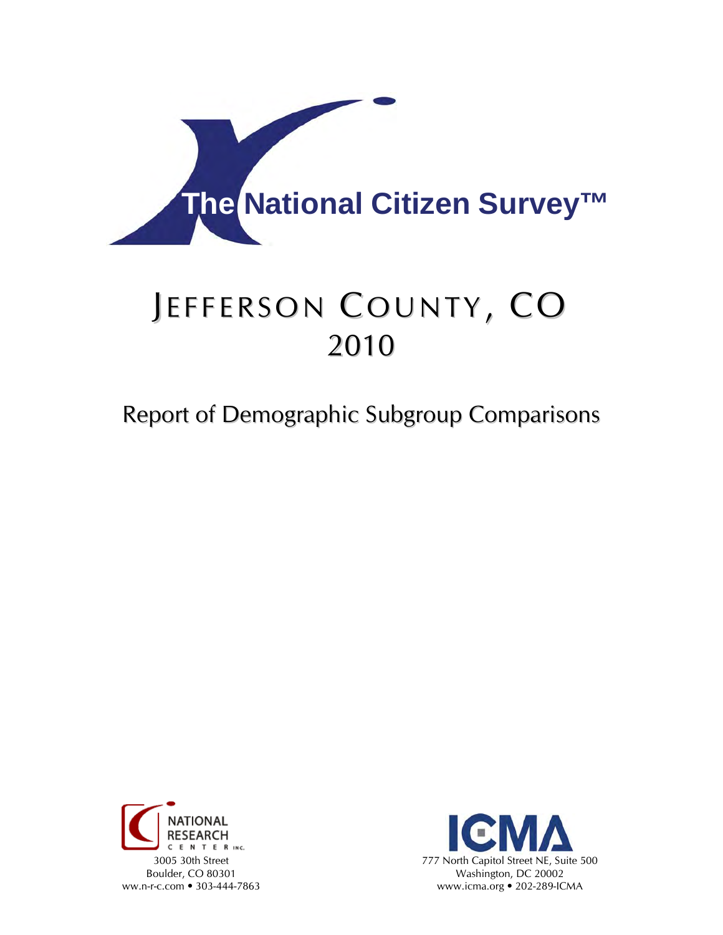

# JEFFERSON COUNTY, CO 2010

# Report of Demographic Subgroup Comparisons



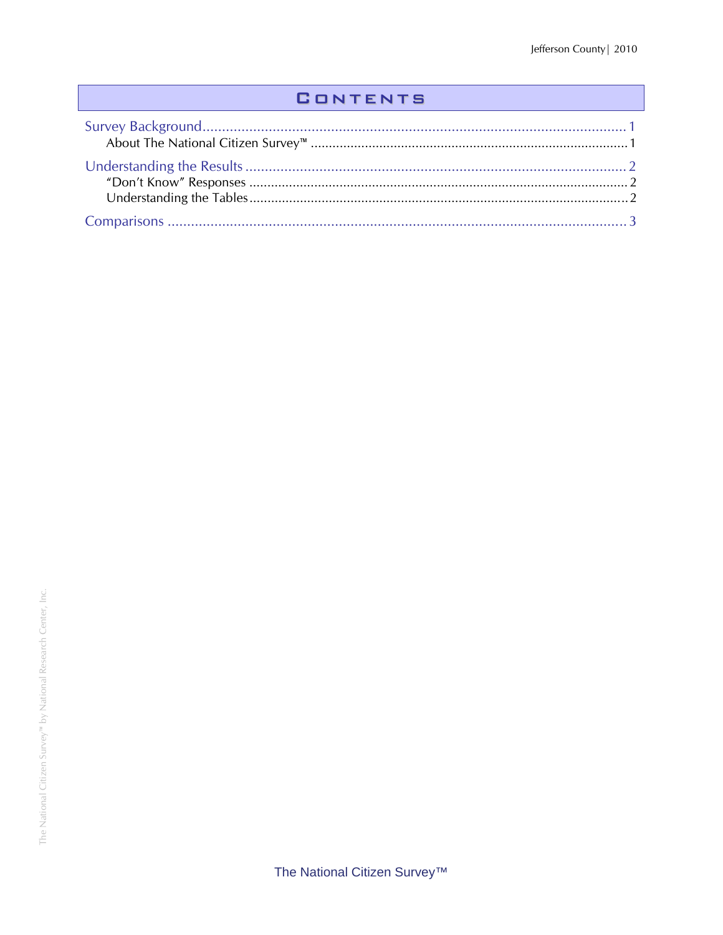### **CONTENTS**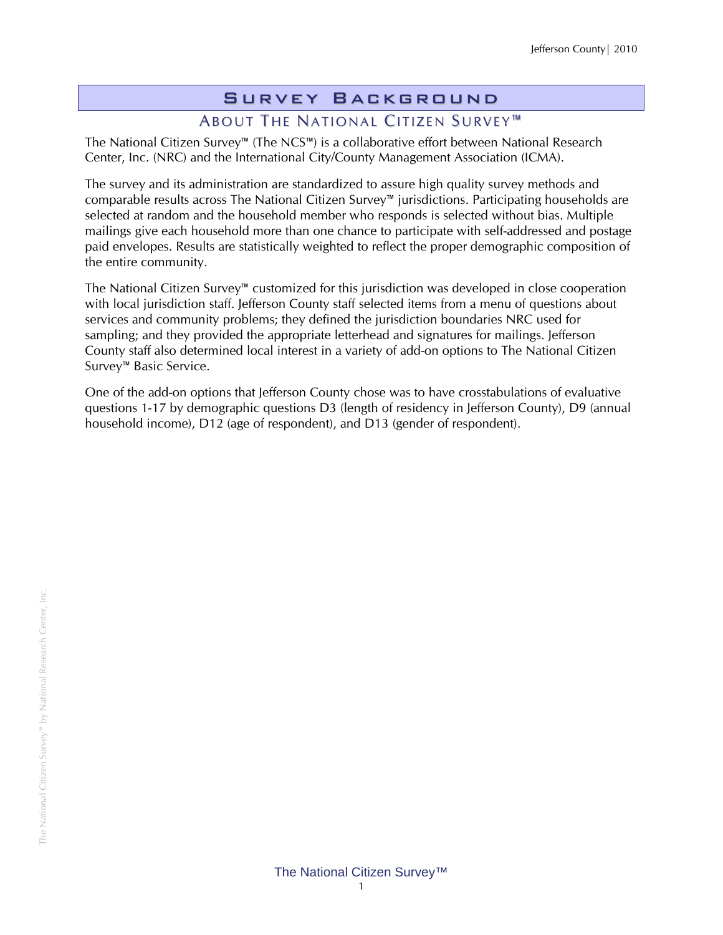# Survey Background

# ABOUT THE NATIONAL CITIZEN SURVEY<sup>™</sup>

The National Citizen Survey™ (The NCS™) is a collaborative effort between National Research Center, Inc. (NRC) and the International City/County Management Association (ICMA).

The survey and its administration are standardized to assure high quality survey methods and comparable results across The National Citizen Survey™ jurisdictions. Participating households are selected at random and the household member who responds is selected without bias. Multiple mailings give each household more than one chance to participate with self-addressed and postage paid envelopes. Results are statistically weighted to reflect the proper demographic composition of the entire community.

The National Citizen Survey™ customized for this jurisdiction was developed in close cooperation with local jurisdiction staff. Jefferson County staff selected items from a menu of questions about services and community problems; they defined the jurisdiction boundaries NRC used for sampling; and they provided the appropriate letterhead and signatures for mailings. Jefferson County staff also determined local interest in a variety of add-on options to The National Citizen Survey™ Basic Service.

One of the add-on options that Jefferson County chose was to have crosstabulations of evaluative questions 1-17 by demographic questions D3 (length of residency in Jefferson County), D9 (annual household income), D12 (age of respondent), and D13 (gender of respondent).

The National Citizen Survey™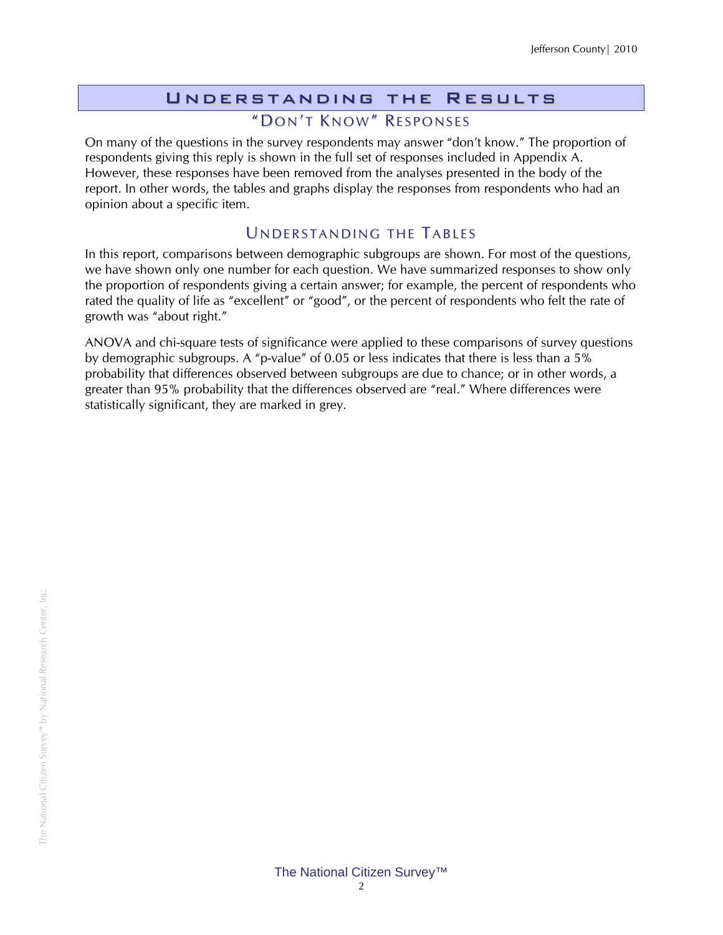#### Understanding the Results "DON'T KNOW" RESPONSES

On many of the questions in the survey respondents may answer "don't know." The proportion of respondents giving this reply is shown in the full set of responses included in Appendix A. However, these responses have been removed from the analyses presented in the body of the report. In other words, the tables and graphs display the responses from respondents who had an opinion about a specific item.

#### UNDERSTANDING THE TABLES

In this report, comparisons between demographic subgroups are shown. For most of the questions, we have shown only one number for each question. We have summarized responses to show only the proportion of respondents giving a certain answer; for example, the percent of respondents who rated the quality of life as "excellent" or "good", or the percent of respondents who felt the rate of growth was "about right."

ANOVA and chi-square tests of significance were applied to these comparisons of survey questions by demographic subgroups. A "p-value" of 0.05 or less indicates that there is less than a 5% probability that differences observed between subgroups are due to chance; or in other words, a greater than 95% probability that the differences observed are "real." Where differences were statistically significant, they are marked in grey.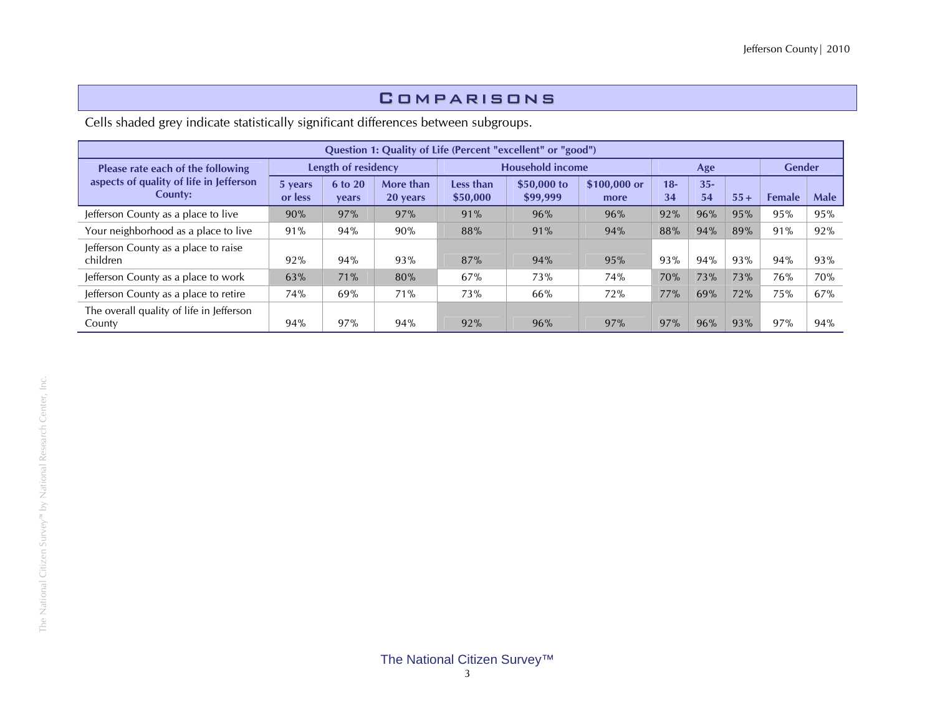#### Comparisons

Cells shaded grey indicate statistically significant differences between subgroups.

|                                                    |                    |                     |                       |                       | Question 1: Quality of Life (Percent "excellent" or "good") |                      |             |              |       |               |             |
|----------------------------------------------------|--------------------|---------------------|-----------------------|-----------------------|-------------------------------------------------------------|----------------------|-------------|--------------|-------|---------------|-------------|
| Please rate each of the following                  |                    | Length of residency |                       |                       | <b>Household income</b>                                     |                      |             | Age          |       | <b>Gender</b> |             |
| aspects of quality of life in Jefferson<br>County: | 5 years<br>or less | 6 to 20<br>years    | More than<br>20 years | Less than<br>\$50,000 | \$50,000 to<br>\$99,999                                     | \$100,000 or<br>more | $18-$<br>34 | $35 -$<br>54 | $55+$ | <b>Female</b> | <b>Male</b> |
| Jefferson County as a place to live                | 90%                | 97%                 | 97%                   | 91%                   | 96%                                                         | 96%                  | 92%         | 96%          | 95%   | 95%           | 95%         |
| Your neighborhood as a place to live               | 91%                | 94%                 | 90%                   | 88%                   | 91%                                                         | 94%                  | 88%         | 94%          | 89%   | 91%           | 92%         |
| Jefferson County as a place to raise<br>children   | 92%                | 94%                 | 93%                   | 87%                   | 94%                                                         | 95%                  | 93%         | 94%          | 93%   | 94%           | 93%         |
| Jefferson County as a place to work                | 63%                | 71%                 | 80%                   | 67%                   | 73%                                                         | 74%                  | 70%         | 73%          | 73%   | 76%           | 70%         |
| Jefferson County as a place to retire              | 74%                | 69%                 | 71%                   | 73%                   | 66%                                                         | 72%                  | 77%         | 69%          | 72%   | 75%           | 67%         |
| The overall quality of life in Jefferson<br>County | 94%                | 97%                 | 94%                   | 92%                   | 96%                                                         | 97%                  | 97%         | 96%          | 93%   | 97%           | 94%         |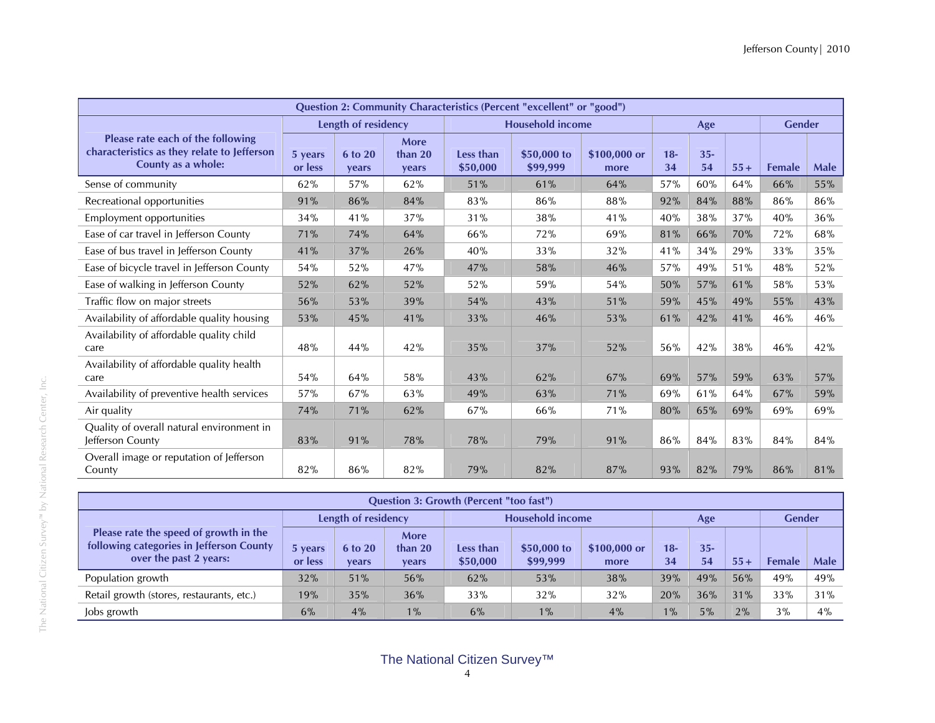|                                                                                                        |                    |                     |                                 |                              | Question 2: Community Characteristics (Percent "excellent" or "good") |                      |             |              |       |               |             |
|--------------------------------------------------------------------------------------------------------|--------------------|---------------------|---------------------------------|------------------------------|-----------------------------------------------------------------------|----------------------|-------------|--------------|-------|---------------|-------------|
|                                                                                                        |                    | Length of residency |                                 |                              | <b>Household income</b>                                               |                      |             | Age          |       | <b>Gender</b> |             |
| Please rate each of the following<br>characteristics as they relate to Jefferson<br>County as a whole: | 5 years<br>or less | 6 to 20<br>years    | <b>More</b><br>than 20<br>years | <b>Less than</b><br>\$50,000 | \$50,000 to<br>\$99,999                                               | \$100,000 or<br>more | $18-$<br>34 | $35 -$<br>54 | $55+$ | <b>Female</b> | <b>Male</b> |
| Sense of community                                                                                     | 62%                | 57%                 | 62%                             | 51%                          | 61%                                                                   | 64%                  | 57%         | 60%          | 64%   | 66%           | 55%         |
| Recreational opportunities                                                                             | 91%                | 86%                 | 84%                             | 83%                          | 86%                                                                   | 88%                  | 92%         | 84%          | 88%   | 86%           | 86%         |
| Employment opportunities                                                                               | 34%                | 41%                 | 37%                             | 31%                          | 38%                                                                   | 41%                  | 40%         | 38%          | 37%   | 40%           | 36%         |
| Ease of car travel in Jefferson County                                                                 | 71%                | 74%                 | 64%                             | 66%                          | 72%                                                                   | 69%                  | 81%         | 66%          | 70%   | 72%           | 68%         |
| Ease of bus travel in Jefferson County                                                                 | 41%                | 37%                 | 26%                             | 40%                          | 33%                                                                   | 32%                  | 41%         | 34%          | 29%   | 33%           | 35%         |
| Ease of bicycle travel in Jefferson County                                                             | 54%                | 52%                 | 47%                             | 47%                          | 58%                                                                   | 46%                  | 57%         | 49%          | 51%   | 48%           | 52%         |
| Ease of walking in Jefferson County                                                                    | 52%                | 62%                 | 52%                             | 52%                          | 59%                                                                   | 54%                  | 50%         | 57%          | 61%   | 58%           | 53%         |
| Traffic flow on major streets                                                                          | 56%                | 53%                 | 39%                             | 54%                          | 43%                                                                   | 51%                  | 59%         | 45%          | 49%   | 55%           | 43%         |
| Availability of affordable quality housing                                                             | 53%                | 45%                 | 41%                             | 33%                          | 46%                                                                   | 53%                  | 61%         | 42%          | 41%   | 46%           | 46%         |
| Availability of affordable quality child<br>care                                                       | 48%                | 44%                 | 42%                             | 35%                          | 37%                                                                   | 52%                  | 56%         | 42%          | 38%   | 46%           | 42%         |
| Availability of affordable quality health<br>care                                                      | 54%                | 64%                 | 58%                             | 43%                          | 62%                                                                   | 67%                  | 69%         | 57%          | 59%   | 63%           | 57%         |
| Availability of preventive health services                                                             | 57%                | 67%                 | 63%                             | 49%                          | 63%                                                                   | 71%                  | 69%         | 61%          | 64%   | 67%           | 59%         |
| Air quality                                                                                            | 74%                | 71%                 | 62%                             | 67%                          | 66%                                                                   | 71%                  | 80%         | 65%          | 69%   | 69%           | 69%         |
| Quality of overall natural environment in<br>Jefferson County                                          | 83%                | 91%                 | 78%                             | 78%                          | 79%                                                                   | 91%                  | 86%         | 84%          | 83%   | 84%           | 84%         |
| Overall image or reputation of Jefferson<br>County                                                     | 82%                | 86%                 | 82%                             | 79%                          | 82%                                                                   | 87%                  | 93%         | 82%          | 79%   | 86%           | 81%         |

| <b>Question 3: Growth (Percent "too fast")</b>                                                               |                    |                     |                                 |                       |                         |                      |             |              |               |               |             |  |  |  |
|--------------------------------------------------------------------------------------------------------------|--------------------|---------------------|---------------------------------|-----------------------|-------------------------|----------------------|-------------|--------------|---------------|---------------|-------------|--|--|--|
|                                                                                                              |                    | Length of residency |                                 |                       | <b>Household income</b> |                      |             | Age          | <b>Gender</b> |               |             |  |  |  |
| Please rate the speed of growth in the<br>following categories in Jefferson County<br>over the past 2 years: | 5 years<br>or less | 6 to 20<br>vears    | <b>More</b><br>than 20<br>vears | Less than<br>\$50,000 | \$50,000 to<br>\$99,999 | \$100,000 or<br>more | $18-$<br>34 | $35 -$<br>54 | $55+$         | <b>Female</b> | <b>Male</b> |  |  |  |
| Population growth                                                                                            | 32%                | 51%                 | 56%                             | 62%                   | 53%                     | 38%                  | 39%         | 49%          | 56%           | 49%           | 49%         |  |  |  |
| Retail growth (stores, restaurants, etc.)                                                                    | 19%                | 35%                 | 36%                             | 33%                   | 32%                     | 32%                  | 20%         | 36%          | 31%           | 33%           | 31%         |  |  |  |
| Jobs growth                                                                                                  | 6%                 | 4%                  | $1\%$                           | 6%                    | $1\%$                   | 4%                   | $1\%$       | 5%           | 2%            | 3%            | 4%          |  |  |  |

## The National Citizen Survey™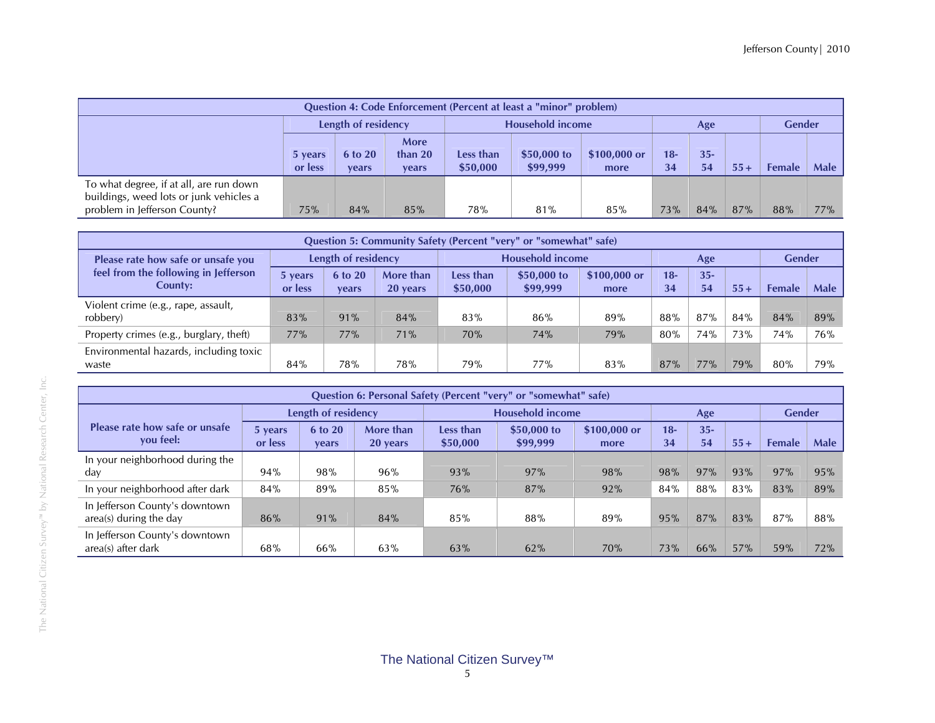| <b>Question 4: Code Enforcement (Percent at least a "minor" problem)</b>           |                    |                     |                                   |                       |                         |                      |             |              |        |               |             |  |  |
|------------------------------------------------------------------------------------|--------------------|---------------------|-----------------------------------|-----------------------|-------------------------|----------------------|-------------|--------------|--------|---------------|-------------|--|--|
|                                                                                    |                    | Length of residency |                                   |                       | <b>Household income</b> |                      |             | Age          |        | <b>Gender</b> |             |  |  |
|                                                                                    | 5 years<br>or less | 6 to 20<br>vears    | More<br>than $20$<br><b>vears</b> | Less than<br>\$50,000 | \$50,000 to<br>\$99,999 | \$100,000 or<br>more | $18-$<br>34 | $35 -$<br>54 | $55 +$ | Female        | <b>Male</b> |  |  |
| To what degree, if at all, are run down<br>buildings, weed lots or junk vehicles a |                    |                     |                                   |                       |                         |                      |             |              |        |               |             |  |  |
| problem in Jefferson County?                                                       | 75%                | 84%                 | 85%                               | 78%                   | 81%                     | 85%                  | 73%         | 84%          | 87%    | 88%           | 77%         |  |  |

|                                                 | Question 5: Community Safety (Percent "very" or "somewhat" safe) |                     |                       |                       |                         |                       |              |              |       |               |             |  |  |  |  |
|-------------------------------------------------|------------------------------------------------------------------|---------------------|-----------------------|-----------------------|-------------------------|-----------------------|--------------|--------------|-------|---------------|-------------|--|--|--|--|
| Please rate how safe or unsafe you              |                                                                  | Length of residency |                       |                       | <b>Household income</b> |                       |              | Age          |       | <b>Gender</b> |             |  |  |  |  |
| feel from the following in Jefferson<br>County: | 5 years<br>or less                                               | 6 to 20<br>vears    | More than<br>20 years | Less than<br>\$50,000 | \$50,000 to<br>\$99,999 | $$100,000$ or<br>more | $18 -$<br>34 | $35 -$<br>54 | $55+$ | <b>Female</b> | <b>Male</b> |  |  |  |  |
| Violent crime (e.g., rape, assault,<br>robbery) | 83%                                                              | 91%                 | 84%                   | 83%                   | 86%                     | 89%                   | 88%          | 87%          | 84%   | 84%           | 89%         |  |  |  |  |
| Property crimes (e.g., burglary, theft)         | 77%                                                              | 77%                 | 71%                   | 70%                   | 74%                     | 79%                   | 80%          | 74%          | 73%   | 74%           | 76%         |  |  |  |  |
| Environmental hazards, including toxic<br>waste | 84%                                                              | 78%                 | 78%                   | 79%                   | 77%                     | 83%                   | 87%          | 77%          | 79%   | 80%           | 79%         |  |  |  |  |

|                                                          |                    |                                |                       |                       | Question 6: Personal Safety (Percent "very" or "somewhat" safe) |                      |              |              |       |               |      |
|----------------------------------------------------------|--------------------|--------------------------------|-----------------------|-----------------------|-----------------------------------------------------------------|----------------------|--------------|--------------|-------|---------------|------|
|                                                          |                    | Length of residency            |                       |                       | <b>Household income</b>                                         |                      |              | Age          |       | <b>Gender</b> |      |
| Please rate how safe or unsafe<br>vou feel:              | 5 years<br>or less | <b>6 to 20</b><br><b>vears</b> | More than<br>20 years | Less than<br>\$50,000 | \$50,000 to<br>\$99,999                                         | \$100,000 or<br>more | $18 -$<br>34 | $35 -$<br>54 | $55+$ | <b>Female</b> | Male |
| In your neighborhood during the<br>day                   | 94%                | 98%                            | 96%                   | 93%                   | 97%                                                             | 98%                  | 98%          | 97%          | 93%   | 97%           | 95%  |
| In your neighborhood after dark                          | 84%                | 89%                            | 85%                   | 76%                   | 87%                                                             | 92%                  | 84%          | 88%          | 83%   | 83%           | 89%  |
| In Jefferson County's downtown<br>area(s) during the day | 86%                | 91%                            | 84%                   | 85%                   | 88%                                                             | 89%                  | 95%          | 87%          | 83%   | 87%           | 88%  |
| In Jefferson County's downtown<br>area(s) after dark     | 68%                | 66%                            | 63%                   | 63%                   | 62%                                                             | 70%                  | 73%          | 66%          | 57%   | 59%           | 72%  |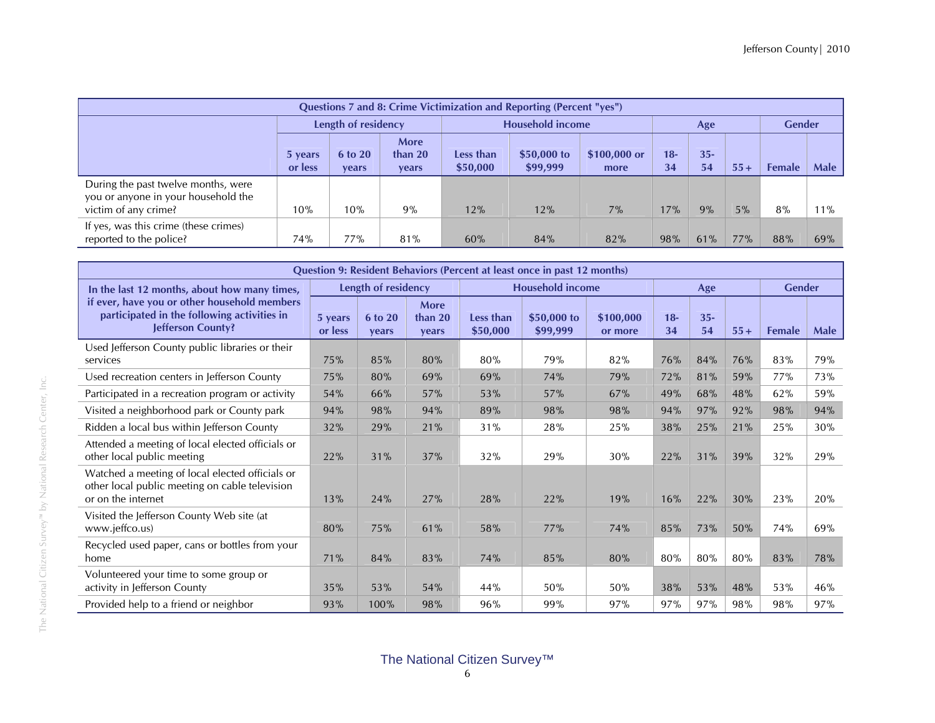|                                                                            |                    |                         |                          |                       | Questions 7 and 8: Crime Victimization and Reporting (Percent "yes") |                      |              |              |       |               |      |
|----------------------------------------------------------------------------|--------------------|-------------------------|--------------------------|-----------------------|----------------------------------------------------------------------|----------------------|--------------|--------------|-------|---------------|------|
|                                                                            |                    | Length of residency     |                          |                       | <b>Household income</b>                                              |                      |              | Age          |       | <b>Gender</b> |      |
|                                                                            | 5 years<br>or less | <b>6 to 20</b><br>vears | More<br>than 20<br>years | Less than<br>\$50,000 | \$50,000 to<br>\$99,999                                              | \$100,000 or<br>more | $18 -$<br>34 | $35 -$<br>54 | $55+$ | <b>Female</b> | Male |
| During the past twelve months, were<br>you or anyone in your household the |                    |                         |                          |                       |                                                                      |                      |              |              |       |               |      |
| victim of any crime?                                                       | 10%                | 10%                     | 9%                       | 12%                   | 12%                                                                  | 7%                   | 17%          | 9%           | 5%    | 8%            | 11%  |
| If yes, was this crime (these crimes)<br>reported to the police?           | 74%                | 77%                     | 81%                      | 60%                   | 84%                                                                  | 82%                  | 98%          | 61%          | 77%   | 88%           | 69%  |

|                                                                                                                         |                    |                     |                          |                              | Question 9: Resident Behaviors (Percent at least once in past 12 months) |                      |              |              |       |               |             |
|-------------------------------------------------------------------------------------------------------------------------|--------------------|---------------------|--------------------------|------------------------------|--------------------------------------------------------------------------|----------------------|--------------|--------------|-------|---------------|-------------|
| In the last 12 months, about how many times,                                                                            |                    | Length of residency |                          |                              | <b>Household income</b>                                                  |                      |              | Age          |       | <b>Gender</b> |             |
| if ever, have you or other household members<br>participated in the following activities in<br>Jefferson County?        | 5 years<br>or less | 6 to 20<br>vears    | More<br>than 20<br>vears | <b>Less than</b><br>\$50,000 | \$50,000 to<br>\$99,999                                                  | \$100.000<br>or more | $18 -$<br>34 | $35 -$<br>54 | $55+$ | <b>Female</b> | <b>Male</b> |
| Used Jefferson County public libraries or their<br>services                                                             | 75%                | 85%                 | 80%                      | 80%                          | 79%                                                                      | 82%                  | 76%          | 84%          | 76%   | 83%           | 79%         |
| Used recreation centers in Jefferson County                                                                             | 75%                | 80%                 | 69%                      | 69%                          | 74%                                                                      | 79%                  | 72%          | 81%          | 59%   | 77%           | 73%         |
| Participated in a recreation program or activity                                                                        | 54%                | 66%                 | 57%                      | 53%                          | 57%                                                                      | 67%                  | 49%          | 68%          | 48%   | 62%           | 59%         |
| Visited a neighborhood park or County park                                                                              | 94%                | 98%                 | 94%                      | 89%                          | 98%                                                                      | 98%                  | 94%          | 97%          | 92%   | 98%           | 94%         |
| Ridden a local bus within Jefferson County                                                                              | 32%                | 29%                 | 21%                      | 31%                          | 28%                                                                      | 25%                  | 38%          | 25%          | 21%   | 25%           | 30%         |
| Attended a meeting of local elected officials or<br>other local public meeting                                          | 22%                | 31%                 | 37%                      | 32%                          | 29%                                                                      | 30%                  | 22%          | 31%          | 39%   | 32%           | 29%         |
| Watched a meeting of local elected officials or<br>other local public meeting on cable television<br>or on the internet | 13%                | 24%                 | 27%                      | 28%                          | 22%                                                                      | 19%                  | 16%          | 22%          | 30%   | 23%           | 20%         |
| Visited the Jefferson County Web site (at<br>www.jeffco.us)                                                             | 80%                | 75%                 | 61%                      | 58%                          | 77%                                                                      | 74%                  | 85%          | 73%          | 50%   | 74%           | 69%         |
| Recycled used paper, cans or bottles from your<br>home                                                                  | 71%                | 84%                 | 83%                      | 74%                          | 85%                                                                      | 80%                  | 80%          | 80%          | 80%   | 83%           | 78%         |
| Volunteered your time to some group or<br>activity in Jefferson County                                                  | 35%                | 53%                 | 54%                      | 44%                          | 50%                                                                      | 50%                  | 38%          | 53%          | 48%   | 53%           | 46%         |
| Provided help to a friend or neighbor                                                                                   | 93%                | 100%                | 98%                      | 96%                          | 99%                                                                      | 97%                  | 97%          | 97%          | 98%   | 98%           | 97%         |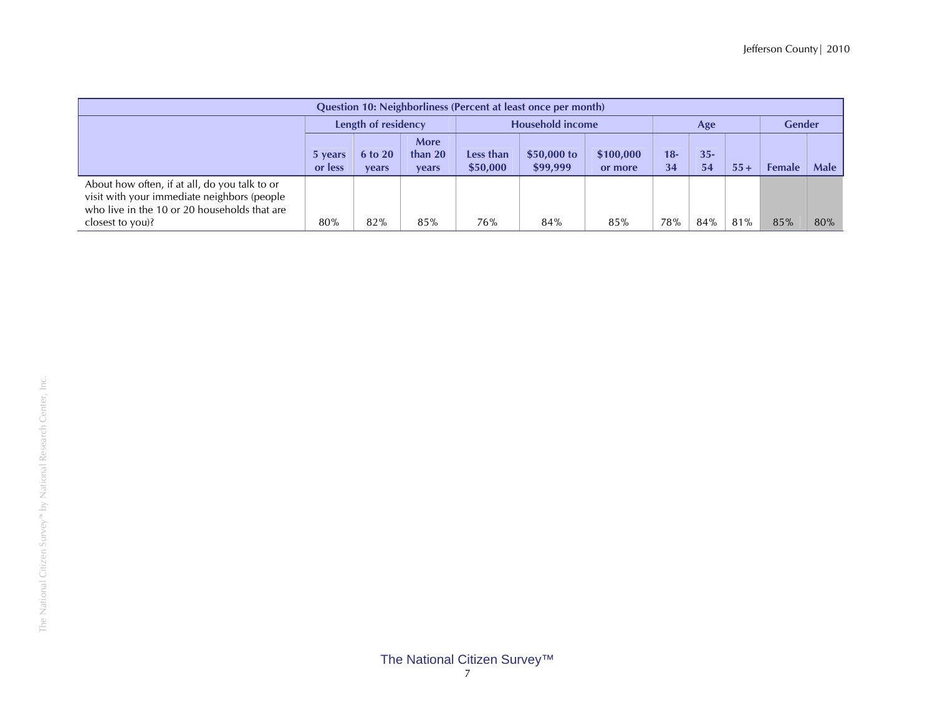|                                                                                                                                                                 |                    |                                |                          |                       | <b>Question 10: Neighborliness (Percent at least once per month)</b> |                      |           |              |       |               |             |
|-----------------------------------------------------------------------------------------------------------------------------------------------------------------|--------------------|--------------------------------|--------------------------|-----------------------|----------------------------------------------------------------------|----------------------|-----------|--------------|-------|---------------|-------------|
|                                                                                                                                                                 |                    | Length of residency            |                          |                       | <b>Household income</b>                                              |                      |           | Age          |       | <b>Gender</b> |             |
|                                                                                                                                                                 | 5 years<br>or less | <b>6 to 20</b><br><b>vears</b> | More<br>than 20<br>vears | Less than<br>\$50,000 | $$50,000$ to<br>\$99,999                                             | \$100,000<br>or more | 18-<br>34 | $35 -$<br>54 | $55+$ | <b>Female</b> | <b>Male</b> |
| About how often, if at all, do you talk to or<br>visit with your immediate neighbors (people<br>who live in the 10 or 20 households that are<br>closest to you? | 80%                | 82%                            | 85%                      | 76%                   | 84%                                                                  | 85%                  | 78%       | 84%          | 81%   | 85%           | 80%         |

# The National Citizen Survey™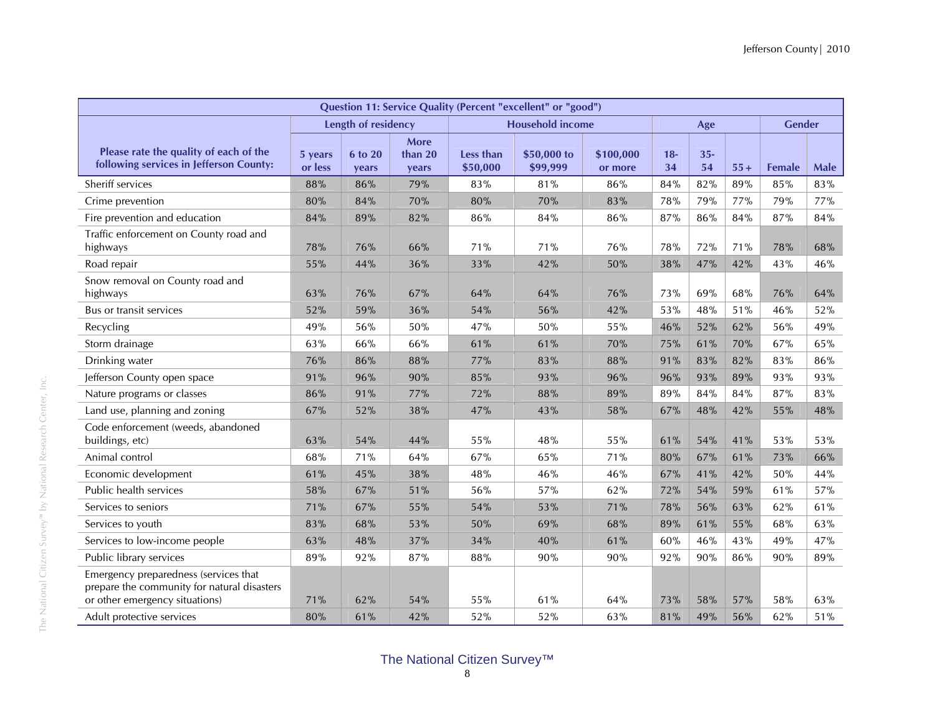|                                                                                                                        |                    |                     |                                 |                       | Question 11: Service Quality (Percent "excellent" or "good") |                      |             |              |       |               |             |
|------------------------------------------------------------------------------------------------------------------------|--------------------|---------------------|---------------------------------|-----------------------|--------------------------------------------------------------|----------------------|-------------|--------------|-------|---------------|-------------|
|                                                                                                                        |                    | Length of residency |                                 |                       | <b>Household income</b>                                      |                      |             | Age          |       | <b>Gender</b> |             |
| Please rate the quality of each of the<br>following services in Jefferson County:                                      | 5 years<br>or less | 6 to 20<br>years    | <b>More</b><br>than 20<br>years | Less than<br>\$50,000 | \$50,000 to<br>\$99,999                                      | \$100.000<br>or more | $18-$<br>34 | $35 -$<br>54 | $55+$ | <b>Female</b> | <b>Male</b> |
| Sheriff services                                                                                                       | 88%                | 86%                 | 79%                             | 83%                   | 81%                                                          | 86%                  | 84%         | 82%          | 89%   | 85%           | 83%         |
| Crime prevention                                                                                                       | 80%                | 84%                 | 70%                             | 80%                   | 70%                                                          | 83%                  | 78%         | 79%          | 77%   | 79%           | 77%         |
| Fire prevention and education                                                                                          | 84%                | 89%                 | 82%                             | 86%                   | 84%                                                          | 86%                  | 87%         | 86%          | 84%   | 87%           | 84%         |
| Traffic enforcement on County road and<br>highways                                                                     | 78%                | 76%                 | 66%                             | 71%                   | 71%                                                          | 76%                  | 78%         | 72%          | 71%   | 78%           | 68%         |
| Road repair                                                                                                            | 55%                | 44%                 | 36%                             | 33%                   | 42%                                                          | 50%                  | 38%         | 47%          | 42%   | 43%           | 46%         |
| Snow removal on County road and<br>highways                                                                            | 63%                | 76%                 | 67%                             | 64%                   | 64%                                                          | 76%                  | 73%         | 69%          | 68%   | 76%           | 64%         |
| Bus or transit services                                                                                                | 52%                | 59%                 | 36%                             | 54%                   | 56%                                                          | 42%                  | 53%         | 48%          | 51%   | 46%           | 52%         |
| Recycling                                                                                                              | 49%                | 56%                 | 50%                             | 47%                   | 50%                                                          | 55%                  | 46%         | 52%          | 62%   | 56%           | 49%         |
| Storm drainage                                                                                                         | 63%                | 66%                 | 66%                             | 61%                   | 61%                                                          | 70%                  | 75%         | 61%          | 70%   | 67%           | 65%         |
| Drinking water                                                                                                         | 76%                | 86%                 | 88%                             | 77%                   | 83%                                                          | 88%                  | 91%         | 83%          | 82%   | 83%           | 86%         |
| Jefferson County open space                                                                                            | 91%                | 96%                 | 90%                             | 85%                   | 93%                                                          | 96%                  | 96%         | 93%          | 89%   | 93%           | 93%         |
| Nature programs or classes                                                                                             | 86%                | 91%                 | 77%                             | 72%                   | 88%                                                          | 89%                  | 89%         | 84%          | 84%   | 87%           | 83%         |
| Land use, planning and zoning                                                                                          | 67%                | 52%                 | 38%                             | 47%                   | 43%                                                          | 58%                  | 67%         | 48%          | 42%   | 55%           | 48%         |
| Code enforcement (weeds, abandoned<br>buildings, etc)                                                                  | 63%                | 54%                 | 44%                             | 55%                   | 48%                                                          | 55%                  | 61%         | 54%          | 41%   | 53%           | 53%         |
| Animal control                                                                                                         | 68%                | 71%                 | 64%                             | 67%                   | 65%                                                          | 71%                  | 80%         | 67%          | 61%   | 73%           | 66%         |
| Economic development                                                                                                   | 61%                | 45%                 | 38%                             | 48%                   | 46%                                                          | 46%                  | 67%         | 41%          | 42%   | 50%           | 44%         |
| Public health services                                                                                                 | 58%                | 67%                 | 51%                             | 56%                   | 57%                                                          | 62%                  | 72%         | 54%          | 59%   | 61%           | 57%         |
| Services to seniors                                                                                                    | 71%                | 67%                 | 55%                             | 54%                   | 53%                                                          | 71%                  | 78%         | 56%          | 63%   | 62%           | 61%         |
| Services to youth                                                                                                      | 83%                | 68%                 | 53%                             | 50%                   | 69%                                                          | 68%                  | 89%         | 61%          | 55%   | 68%           | 63%         |
| Services to low-income people                                                                                          | 63%                | 48%                 | 37%                             | 34%                   | 40%                                                          | 61%                  | 60%         | 46%          | 43%   | 49%           | 47%         |
| Public library services                                                                                                | 89%                | 92%                 | 87%                             | 88%                   | 90%                                                          | 90%                  | 92%         | 90%          | 86%   | 90%           | 89%         |
| Emergency preparedness (services that<br>prepare the community for natural disasters<br>or other emergency situations) | 71%                | 62%                 | 54%                             | 55%                   | 61%                                                          | 64%                  | 73%         | 58%          | 57%   | 58%           | 63%         |
| Adult protective services                                                                                              | 80%                | 61%                 | 42%                             | 52%                   | 52%                                                          | 63%                  | 81%         | 49%          | 56%   | 62%           | 51%         |

The National Citizen Survey™ by National Research Center, Inc.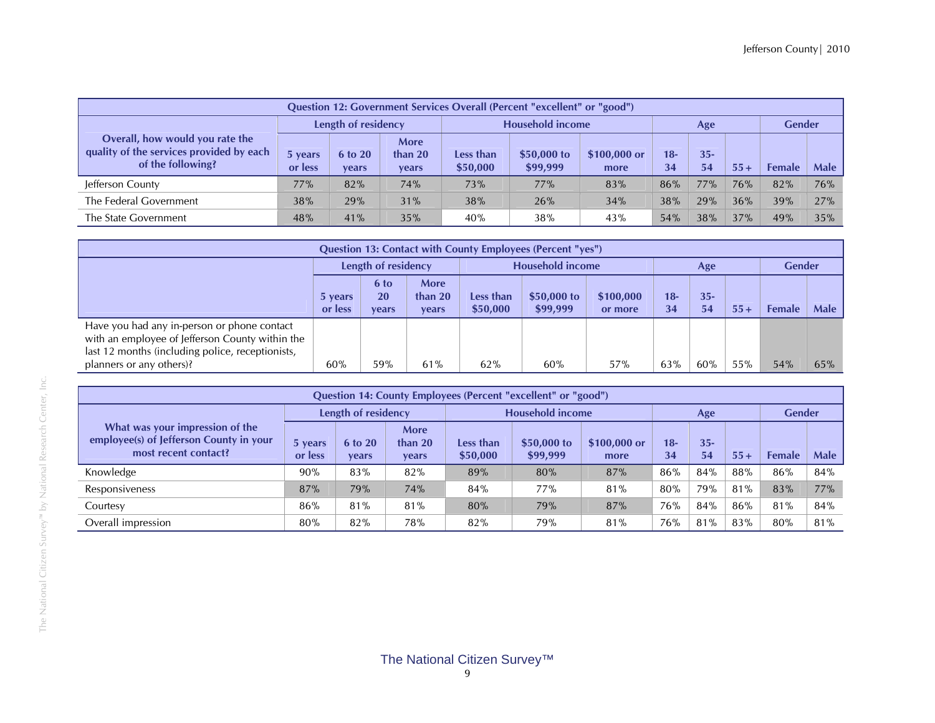|                                                                                                  | <b>Ouestion 12: Government Services Overall (Percent "excellent" or "good")</b> |                                |                                        |                       |                          |                      |              |              |       |               |             |  |  |  |  |
|--------------------------------------------------------------------------------------------------|---------------------------------------------------------------------------------|--------------------------------|----------------------------------------|-----------------------|--------------------------|----------------------|--------------|--------------|-------|---------------|-------------|--|--|--|--|
|                                                                                                  |                                                                                 | Length of residency            |                                        |                       | <b>Household income</b>  |                      |              | Age          |       | <b>Gender</b> |             |  |  |  |  |
| Overall, how would you rate the<br>quality of the services provided by each<br>of the following? | 5 years<br>or less                                                              | <b>6 to 20</b><br><b>vears</b> | <b>More</b><br>than 20<br><b>vears</b> | Less than<br>\$50,000 | $$50,000$ to<br>\$99,999 | \$100,000 or<br>more | $18 -$<br>34 | $35 -$<br>54 | $55+$ | <b>Female</b> | <b>Male</b> |  |  |  |  |
| Jefferson County                                                                                 | 77%                                                                             | 82%                            | 74%                                    | 73%                   | 77%                      | 83%                  | 86%          | 77%          | 76%   | 82%           | 76%         |  |  |  |  |
| The Federal Government                                                                           | 38%                                                                             | 29%                            | 31%                                    | 38%                   | 26%                      | 34%                  | 38%          | 29%          | 36%   | 39%           | 27%         |  |  |  |  |
| The State Government                                                                             | 48%                                                                             | 41%                            | 35%                                    | 40%                   | 38%                      | 43%                  | 54%          | 38%          | 37%   | 49%           | 35%         |  |  |  |  |

| <b>Question 13: Contact with County Employees (Percent "yes")</b>                                                                                                              |                     |                     |                            |                         |                          |                      |              |              |        |        |               |  |
|--------------------------------------------------------------------------------------------------------------------------------------------------------------------------------|---------------------|---------------------|----------------------------|-------------------------|--------------------------|----------------------|--------------|--------------|--------|--------|---------------|--|
|                                                                                                                                                                                | Length of residency |                     |                            | <b>Household income</b> |                          |                      |              | Age          |        |        | <b>Gender</b> |  |
|                                                                                                                                                                                | 5 years<br>or less  | 6 to<br>20<br>vears | More<br>than $20$<br>vears | Less than<br>\$50,000   | $$50,000$ to<br>\$99,999 | \$100,000<br>or more | $18 -$<br>34 | $35 -$<br>54 | $55 +$ | Female | <b>Male</b>   |  |
| Have you had any in-person or phone contact<br>with an employee of Jefferson County within the<br>last 12 months (including police, receptionists,<br>planners or any others)? | 60%                 | 59%                 | 61%                        | 62%                     | 60%                      | 57%                  | 63%          | 60%          | 55%    | 54%    | 65%           |  |

| Question 14: County Employees (Percent "excellent" or "good")                                      |                                                       |                  |                                   |                       |                         |                      |             |              |       |               |             |  |
|----------------------------------------------------------------------------------------------------|-------------------------------------------------------|------------------|-----------------------------------|-----------------------|-------------------------|----------------------|-------------|--------------|-------|---------------|-------------|--|
|                                                                                                    | Length of residency<br><b>Household income</b><br>Age |                  |                                   |                       |                         | <b>Gender</b>        |             |              |       |               |             |  |
| What was your impression of the<br>employee(s) of Jefferson County in your<br>most recent contact? | 5 years<br>or less                                    | 6 to 20<br>vears | More<br>than $20$<br><b>vears</b> | Less than<br>\$50,000 | \$50,000 to<br>\$99,999 | \$100,000 or<br>more | $18-$<br>34 | $35 -$<br>54 | $55+$ | <b>Female</b> | <b>Male</b> |  |
| Knowledge                                                                                          | 90%                                                   | 83%              | 82%                               | 89%                   | 80%                     | 87%                  | 86%         | 84%          | 88%   | 86%           | 84%         |  |
| Responsiveness                                                                                     | 87%                                                   | 79%              | 74%                               | 84%                   | 77%                     | 81%                  | 80%         | 79%          | 81%   | 83%           | 77%         |  |
| Courtesy                                                                                           | 86%                                                   | 81%              | 81%                               | 80%                   | 79%                     | 87%                  | 76%         | 84%          | 86%   | 81%           | 84%         |  |
| Overall impression                                                                                 | 80%                                                   | 82%              | 78%                               | 82%                   | 79%                     | 81%                  | 76%         | 81%          | 83%   | 80%           | 81%         |  |